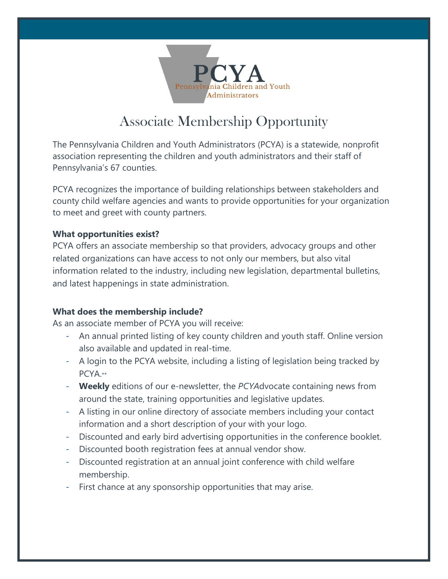

## Associate Membership Opportunity

The Pennsylvania Children and Youth Administrators (PCYA) is a statewide, nonprofit association representing the children and youth administrators and their staff of Pennsylvania's 67 counties.

PCYA recognizes the importance of building relationships between stakeholders and county child welfare agencies and wants to provide opportunities for your organization to meet and greet with county partners.

## **What opportunities exist?**

PCYA offers an associate membership so that providers, advocacy groups and other related organizations can have access to not only our members, but also vital information related to the industry, including new legislation, departmental bulletins, and latest happenings in state administration.

## **What does the membership include?**

As an associate member of PCYA you will receive:

- An annual printed listing of key county children and youth staff. Online version also available and updated in real-time.
- A login to the PCYA website, including a listing of legislation being tracked by PCYA.\*\*
- **Weekly** editions of our e-newsletter, the *PCYA*dvocate containing news from around the state, training opportunities and legislative updates.
- A listing in our online directory of associate members including your contact information and a short description of your with your logo.
- Discounted and early bird advertising opportunities in the conference booklet.
- Discounted booth registration fees at annual vendor show.
- Discounted registration at an annual joint conference with child welfare membership.
- First chance at any sponsorship opportunities that may arise.